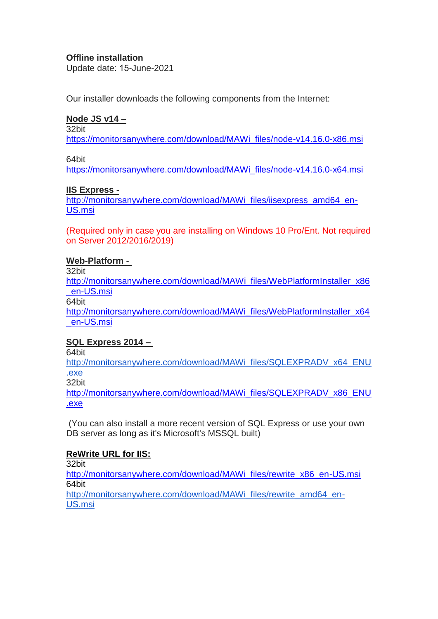#### **Offline installation**

Update date: 15-June-2021

Our installer downloads the following components from the Internet:

## **Node JS v14 –**

32bit

[https://monitorsanywhere.com/download/MAWi\\_files/node-v14.16.0-x86.msi](https://monitorsanywhere.com/download/MAWi_files/node-v14.16.0-x86.msi)

64bit

[https://monitorsanywhere.com/download/MAWi\\_files/node-v14.16.0-x64.msi](https://monitorsanywhere.com/download/MAWi_files/node-v14.16.0-x64.msi)

### **IIS Express -**

[http://monitorsanywhere.com/download/MAWi\\_files/iisexpress\\_amd64\\_en-](http://monitorsanywhere.com/download/MAWi_files/iisexpress_amd64_en-US.msi)[US.msi](http://monitorsanywhere.com/download/MAWi_files/iisexpress_amd64_en-US.msi)

(Required only in case you are installing on Windows 10 Pro/Ent. Not required on Server 2012/2016/2019)

### **Web-Platform -**

32bit

[http://monitorsanywhere.com/download/MAWi\\_files/WebPlatformInstaller\\_x86](http://monitorsanywhere.com/download/MAWi_files/WebPlatformInstaller_x86_en-US.msi) [\\_en-US.msi](http://monitorsanywhere.com/download/MAWi_files/WebPlatformInstaller_x86_en-US.msi)

64bit

[http://monitorsanywhere.com/download/MAWi\\_files/WebPlatformInstaller\\_x64](http://monitorsanywhere.com/download/MAWi_files/WebPlatformInstaller_x64_en-US.msi) [\\_en-US.msi](http://monitorsanywhere.com/download/MAWi_files/WebPlatformInstaller_x64_en-US.msi)

# **SQL Express 2014 –**

64bit

[http://monitorsanywhere.com/download/MAWi\\_files/SQLEXPRADV\\_x64\\_ENU](http://monitorsanywhere.com/download/MAWi_files/SQLEXPRADV_x64_ENU.exe) [.exe](http://monitorsanywhere.com/download/MAWi_files/SQLEXPRADV_x64_ENU.exe)

32bit

[http://monitorsanywhere.com/download/MAWi\\_files/SQLEXPRADV\\_x86\\_ENU](http://monitorsanywhere.com/download/MAWi_files/SQLEXPRADV_x86_ENU.exe) [.exe](http://monitorsanywhere.com/download/MAWi_files/SQLEXPRADV_x86_ENU.exe)

(You can also install a more recent version of SQL Express or use your own DB server as long as it's Microsoft's MSSQL built)

# **ReWrite URL for IIS:**

32bit

[http://monitorsanywhere.com/download/MAWi\\_files/rewrite\\_x86\\_en-US.msi](http://monitorsanywhere.com/download/MAWi_files/rewrite_x86_en-US.msi) 64bit

[http://monitorsanywhere.com/download/MAWi\\_files/rewrite\\_amd64\\_en-](http://monitorsanywhere.com/download/MAWi_files/rewrite_amd64_en-US.msi)[US.msi](http://monitorsanywhere.com/download/MAWi_files/rewrite_amd64_en-US.msi)